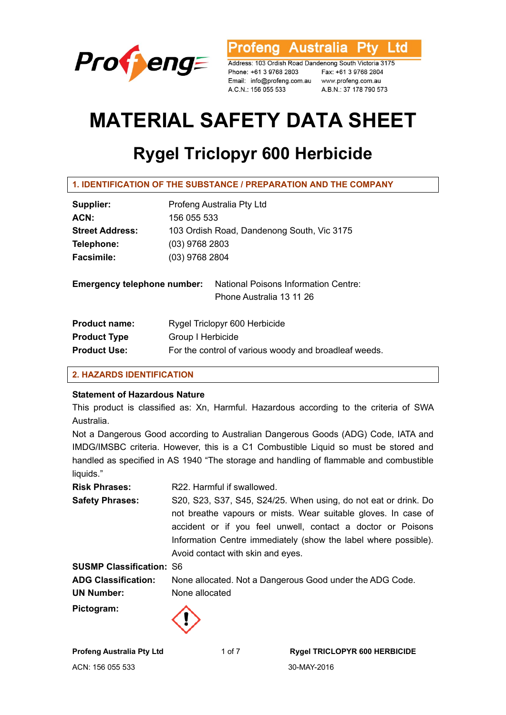

**Australia** l td ofena

Address: 103 Ordish Road Dandenong South Victoria 3175 Phone: +61 3 9768 2803 Email: info@profeng.com.au www.profeng.com.au A.C.N.: 156 055 533

Fax: +61 3 9768 2804 A.B.N.: 37 178 790 573

# **MATERIAL SAFETY DATA SHEET**

# **Rygel Triclopyr 600 Herbicide**

| Supplier:                          | Profeng Australia Pty Ltd                                               |  |
|------------------------------------|-------------------------------------------------------------------------|--|
| ACN:                               | 156 055 533                                                             |  |
| <b>Street Address:</b>             | 103 Ordish Road, Dandenong South, Vic 3175                              |  |
| Telephone:                         | (03) 9768 2803                                                          |  |
| <b>Facsimile:</b>                  | (03) 9768 2804                                                          |  |
| <b>Emergency telephone number:</b> | <b>National Poisons Information Centre:</b><br>Phone Australia 13 11 26 |  |
| <b>Product name:</b>               | Rygel Triclopyr 600 Herbicide                                           |  |
| <b>Product Type</b>                | Group I Herbicide                                                       |  |
| <b>Product Use:</b>                | For the control of various woody and broadleaf weeds.                   |  |

# **2. HAZARDS IDENTIFICATION**

# **Statement of Hazardous Nature**

This product is classified as: Xn, Harmful. Hazardous according to the criteria of SWA Australia.

Not a Dangerous Good according to Australian Dangerous Goods (ADG) Code, IATA and IMDG/IMSBC criteria. However, this is a C1 Combustible Liquid so must be stored and handled as specified in AS 1940 "The storage and handling of flammable and combustible liquids."

**Risk Phrases:** R22. Harmful if swallowed. **Safety Phrases:** S20, S23, S37, S45, S24/25. When using, do not eat or drink. Do not breathe vapours or mists. Wear suitable gloves. In case of accident or if you feel unwell, contact a doctor or Poisons Information Centre immediately (show the label where possible). Avoid contact with skin and eyes.

**SUSMP Classification:** S6 **ADG Classification:** None allocated. Not a Dangerous Good under the ADG Code. **UN Number:** None allocated **Pictogram:**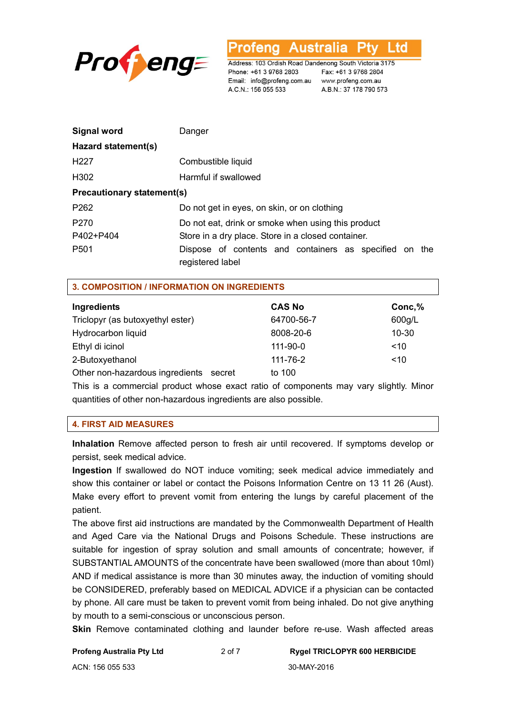

**Australia** ofena L to

Address: 103 Ordish Road Dandenong South Victoria 3175 Phone: +61 3 9768 2803 Email: info@profeng.com.au www.profeng.com.au A.C.N.: 156 055 533

Fax: +61 3 9768 2804 A.B.N.: 37 178 790 573

| <b>Signal word</b>                | Danger                                                                     |  |  |  |
|-----------------------------------|----------------------------------------------------------------------------|--|--|--|
| Hazard statement(s)               |                                                                            |  |  |  |
| H <sub>227</sub>                  | Combustible liquid                                                         |  |  |  |
| H302                              | Harmful if swallowed                                                       |  |  |  |
| <b>Precautionary statement(s)</b> |                                                                            |  |  |  |
| P <sub>262</sub>                  | Do not get in eyes, on skin, or on clothing                                |  |  |  |
| P <sub>270</sub>                  | Do not eat, drink or smoke when using this product                         |  |  |  |
| P402+P404                         | Store in a dry place. Store in a closed container.                         |  |  |  |
| P <sub>501</sub>                  | Dispose of contents and containers as specified on the<br>registered label |  |  |  |

# **3. COMPOSITION / INFORMATION ON INGREDIENTS**

| Ingredients                               | <b>CAS No</b> | Conc,%    |
|-------------------------------------------|---------------|-----------|
| Triclopyr (as butoxyethyl ester)          | 64700-56-7    | 600g/L    |
| Hydrocarbon liquid                        | 8008-20-6     | $10 - 30$ |
| Ethyl di icinol                           | 111-90-0      | ~10       |
| 2-Butoxyethanol                           | 111-76-2      | ~10       |
| Other non-hazardous ingredients<br>secret | to 100        |           |

This is a commercial product whose exact ratio of components may vary slightly. Minor quantities of other non-hazardous ingredients are also possible.

#### **4. FIRST AID MEASURES**

**Inhalation** Remove affected person to fresh air until recovered. If symptoms develop or persist, seek medical advice.

**Ingestion** If swallowed do NOT induce vomiting; seek medical advice immediately and show this container or label or contact the Poisons Information Centre on 13 11 26 (Aust). Make every effort to prevent vomit from entering the lungs by careful placement of the patient.

The above first aid instructions are mandated by the Commonwealth Department of Health and Aged Care via the National Drugs and Poisons Schedule. These instructions are suitable for ingestion of spray solution and small amounts of concentrate; however, if SUBSTANTIAL AMOUNTS of the concentrate have been swallowed (more than about 10ml) AND if medical assistance is more than 30 minutes away, the induction of vomiting should be CONSIDERED, preferably based on MEDICAL ADVICE if a physician can be contacted by phone. All care must be taken to prevent vomit from being inhaled. Do not give anything by mouth to a semi-conscious or unconscious person.

**Skin** Remove contaminated clothing and launder before re-use. Wash affected areas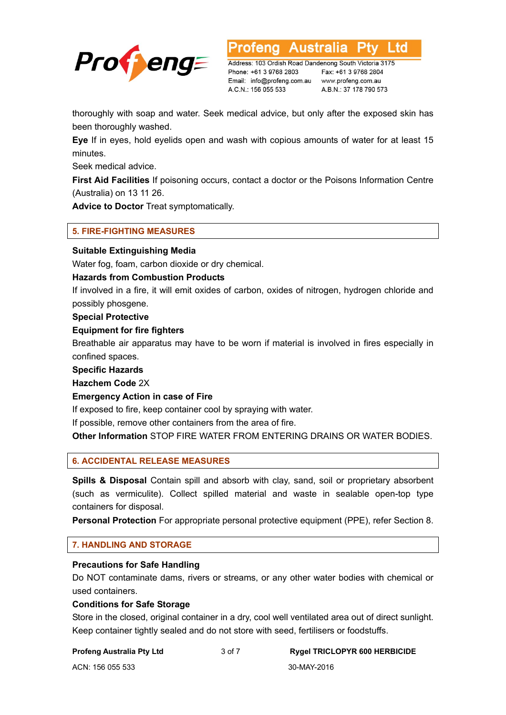

**Australia** L td

Address: 103 Ordish Road Dandenong South Victoria 3175 Phone: +61 3 9768 2803 Email: info@profeng.com.au www.profeng.com.au A.C.N.: 156 055 533

Fax: +61 3 9768 2804 A.B.N.: 37 178 790 573

thoroughly with soap and water. Seek medical advice, but only after the exposed skin has been thoroughly washed.

**Eye** If in eyes, hold eyelids open and wash with copious amounts of water for at least 15 minutes.

Seek medical advice.

**First Aid Facilities** If poisoning occurs, contact a doctor or the Poisons Information Centre (Australia) on 13 11 26.

**Advice to Doctor** Treat symptomatically.

# **5. FIRE-FIGHTING MEASURES**

# **Suitable Extinguishing Media**

Water fog, foam, carbon dioxide or dry chemical.

# **Hazards from Combustion Products**

If involved in a fire, it will emit oxides of carbon, oxides of nitrogen, hydrogen chloride and possibly phosgene.

#### **Special Protective**

# **Equipment for fire fighters**

Breathable air apparatus may have to be worn if material is involved in fires especially in confined spaces.

**Specific Hazards** 

**Hazchem Code** 2X

#### **Emergency Action in case of Fire**

If exposed to fire, keep container cool by spraying with water.

If possible, remove other containers from the area of fire.

**Other Information** STOP FIRE WATER FROM ENTERING DRAINS OR WATER BODIES.

# **6. ACCIDENTAL RELEASE MEASURES**

**Spills & Disposal** Contain spill and absorb with clay, sand, soil or proprietary absorbent (such as vermiculite). Collect spilled material and waste in sealable open-top type containers for disposal.

**Personal Protection** For appropriate personal protective equipment (PPE), refer Section 8.

# **7. HANDLING AND STORAGE**

# **Precautions for Safe Handling**

Do NOT contaminate dams, rivers or streams, or any other water bodies with chemical or used containers.

#### **Conditions for Safe Storage**

Store in the closed, original container in a dry, cool well ventilated area out of direct sunlight. Keep container tightly sealed and do not store with seed, fertilisers or foodstuffs.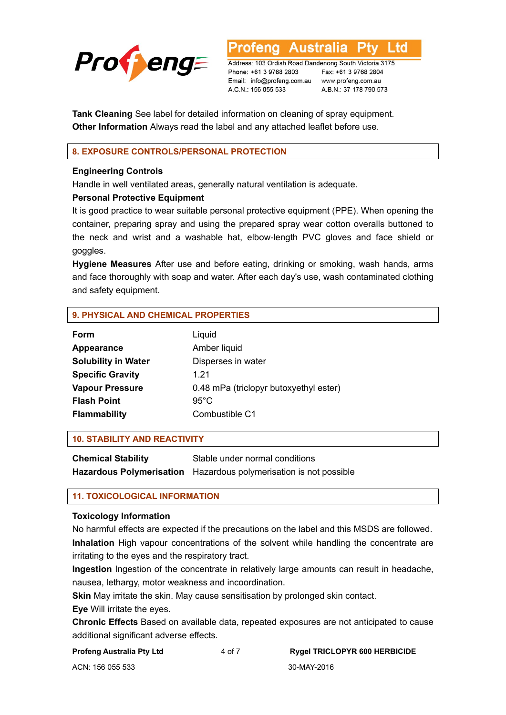

**Australia** L to

Address: 103 Ordish Road Dandenong South Victoria 3175 Phone: +61 3 9768 2803 Email: info@profeng.com.au A.C.N.: 156 055 533

Fax: +61 3 9768 2804 www.profeng.com.au A.B.N.: 37 178 790 573

**Tank Cleaning** See label for detailed information on cleaning of spray equipment. **Other Information** Always read the label and any attached leaflet before use.

# **8. EXPOSURE CONTROLS/PERSONAL PROTECTION**

#### **Engineering Controls**

Handle in well ventilated areas, generally natural ventilation is adequate.

# **Personal Protective Equipment**

It is good practice to wear suitable personal protective equipment (PPE). When opening the container, preparing spray and using the prepared spray wear cotton overalls buttoned to the neck and wrist and a washable hat, elbow-length PVC gloves and face shield or goggles.

**Hygiene Measures** After use and before eating, drinking or smoking, wash hands, arms and face thoroughly with soap and water. After each day's use, wash contaminated clothing and safety equipment.

# **9. PHYSICAL AND CHEMICAL PROPERTIES**

| Liquid                                 |
|----------------------------------------|
| Amber liquid                           |
| Disperses in water                     |
| 1 21                                   |
| 0.48 mPa (triclopyr butoxyethyl ester) |
| $95^{\circ}$ C                         |
| Combustible C1                         |
|                                        |

#### **10. STABILITY AND REACTIVITY**

| <b>Chemical Stability</b> | Stable under normal conditions                                    |
|---------------------------|-------------------------------------------------------------------|
|                           | Hazardous Polymerisation Hazardous polymerisation is not possible |

# **11. TOXICOLOGICAL INFORMATION**

#### **Toxicology Information**

No harmful effects are expected if the precautions on the label and this MSDS are followed. **Inhalation** High vapour concentrations of the solvent while handling the concentrate are irritating to the eyes and the respiratory tract.

**Ingestion** Ingestion of the concentrate in relatively large amounts can result in headache, nausea, lethargy, motor weakness and incoordination.

**Skin** May irritate the skin. May cause sensitisation by prolonged skin contact.

#### **Eye** Will irritate the eyes.

**Chronic Effects** Based on available data, repeated exposures are not anticipated to cause additional significant adverse effects.

**Profeng Australia Pty Ltd** 4 of 7 **Rygel TRICLOPYR 600 HERBICIDE** 

ACN: 156 055 533 30-MAY-2016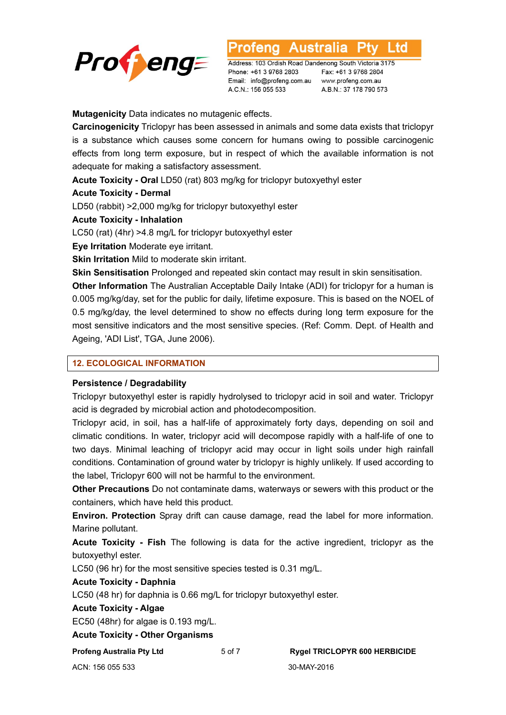

**Australia** L to

Address: 103 Ordish Road Dandenong South Victoria 3175 Phone: +61 3 9768 2803 Email: info@profeng.com.au A.C.N.: 156 055 533

Fax: +61 3 9768 2804 www.profeng.com.au A.B.N.: 37 178 790 573

**Mutagenicity** Data indicates no mutagenic effects.

**Carcinogenicity** Triclopyr has been assessed in animals and some data exists that triclopyr is a substance which causes some concern for humans owing to possible carcinogenic effects from long term exposure, but in respect of which the available information is not adequate for making a satisfactory assessment.

**Acute Toxicity - Oral** LD50 (rat) 803 mg/kg for triclopyr butoxyethyl ester

# **Acute Toxicity - Dermal**

LD50 (rabbit) >2,000 mg/kg for triclopyr butoxyethyl ester

**Acute Toxicity - Inhalation** 

LC50 (rat) (4hr) >4.8 mg/L for triclopyr butoxyethyl ester

**Eye Irritation** Moderate eye irritant.

**Skin Irritation** Mild to moderate skin irritant.

**Skin Sensitisation** Prolonged and repeated skin contact may result in skin sensitisation.

**Other Information** The Australian Acceptable Daily Intake (ADI) for triclopyr for a human is 0.005 mg/kg/day, set for the public for daily, lifetime exposure. This is based on the NOEL of 0.5 mg/kg/day, the level determined to show no effects during long term exposure for the most sensitive indicators and the most sensitive species. (Ref: Comm. Dept. of Health and Ageing, 'ADI List', TGA, June 2006).

# **12. ECOLOGICAL INFORMATION**

# **Persistence / Degradability**

Triclopyr butoxyethyl ester is rapidly hydrolysed to triclopyr acid in soil and water. Triclopyr acid is degraded by microbial action and photodecomposition.

Triclopyr acid, in soil, has a half-life of approximately forty days, depending on soil and climatic conditions. In water, triclopyr acid will decompose rapidly with a half-life of one to two days. Minimal leaching of triclopyr acid may occur in light soils under high rainfall conditions. Contamination of ground water by triclopyr is highly unlikely. If used according to the label, Triclopyr 600 will not be harmful to the environment.

**Other Precautions** Do not contaminate dams, waterways or sewers with this product or the containers, which have held this product.

**Environ. Protection** Spray drift can cause damage, read the label for more information. Marine pollutant.

**Acute Toxicity - Fish** The following is data for the active ingredient, triclopyr as the butoxyethyl ester.

LC50 (96 hr) for the most sensitive species tested is 0.31 mg/L.

# **Acute Toxicity - Daphnia**

LC50 (48 hr) for daphnia is 0.66 mg/L for triclopyr butoxyethyl ester.

#### **Acute Toxicity - Algae**

EC50 (48hr) for algae is 0.193 mg/L.

**Acute Toxicity - Other Organisms** 

**Profeng Australia Pty Ltd** 5 of 7 **Rygel TRICLOPYR 600 HERBICIDE** 

ACN: 156 055 533 30-MAY-2016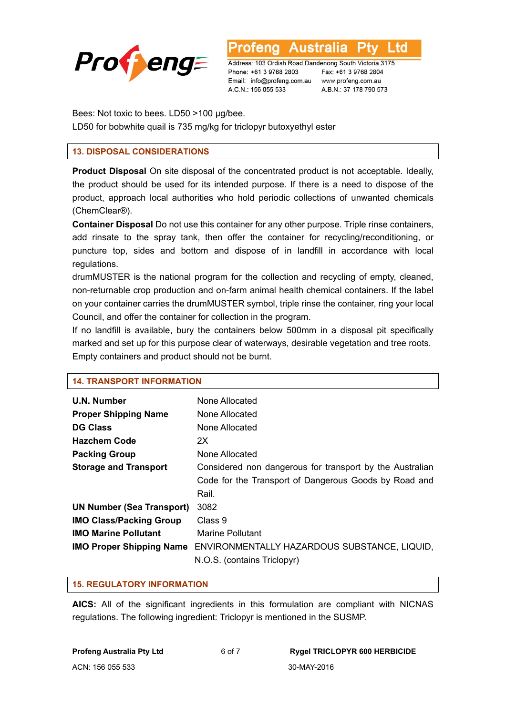

**Australia** L td otena

Address: 103 Ordish Road Dandenong South Victoria 3175 Phone: +61 3 9768 2803 Email: info@profeng.com.au www.profeng.com.au A.C.N.: 156 055 533

Fax: +61 3 9768 2804 A.B.N.: 37 178 790 573

Bees: Not toxic to bees. LD50 >100 μg/bee.

LD50 for bobwhite quail is 735 mg/kg for triclopyr butoxyethyl ester

# **13. DISPOSAL CONSIDERATIONS**

**Product Disposal** On site disposal of the concentrated product is not acceptable. Ideally, the product should be used for its intended purpose. If there is a need to dispose of the product, approach local authorities who hold periodic collections of unwanted chemicals (ChemClear®).

**Container Disposal** Do not use this container for any other purpose. Triple rinse containers, add rinsate to the spray tank, then offer the container for recycling/reconditioning, or puncture top, sides and bottom and dispose of in landfill in accordance with local regulations.

drumMUSTER is the national program for the collection and recycling of empty, cleaned, non-returnable crop production and on-farm animal health chemical containers. If the label on your container carries the drumMUSTER symbol, triple rinse the container, ring your local Council, and offer the container for collection in the program.

If no landfill is available, bury the containers below 500mm in a disposal pit specifically marked and set up for this purpose clear of waterways, desirable vegetation and tree roots. Empty containers and product should not be burnt.

| <b>14. TRANSPORT INFORMATION</b>                                                |  |  |
|---------------------------------------------------------------------------------|--|--|
| None Allocated                                                                  |  |  |
| None Allocated                                                                  |  |  |
| None Allocated                                                                  |  |  |
| 2X                                                                              |  |  |
| None Allocated                                                                  |  |  |
| Considered non dangerous for transport by the Australian                        |  |  |
| Code for the Transport of Dangerous Goods by Road and                           |  |  |
| Rail.                                                                           |  |  |
| 3082                                                                            |  |  |
| Class 9                                                                         |  |  |
| Marine Pollutant                                                                |  |  |
| ENVIRONMENTALLY HAZARDOUS SUBSTANCE, LIQUID,<br><b>IMO Proper Shipping Name</b> |  |  |
| N.O.S. (contains Triclopyr)                                                     |  |  |
|                                                                                 |  |  |

#### **15. REGULATORY INFORMATION**

**AICS:** All of the significant ingredients in this formulation are compliant with NICNAS regulations. The following ingredient: Triclopyr is mentioned in the SUSMP.